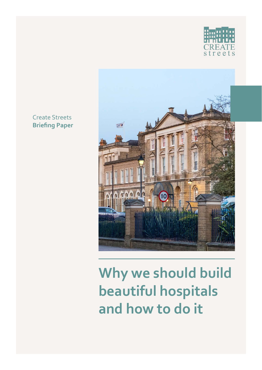



# **Why we should build beautiful hospitals and how to do it**

### Create Streets **Briefing Paper**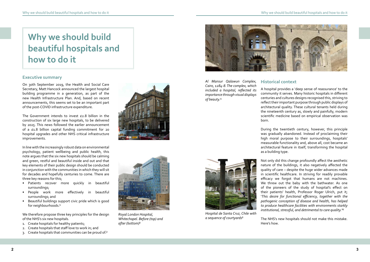On 30th September 2019, the Health and Social Care Secretary, Matt Hancock announced the largest hospital building programme in a generation, as part of the new Health Infrastructure Plan. And, based on recent announcements, this seems set to be an important part of the post-COVID infrastructure expenditure.

The Government intends to invest £2.8 billion in the construction of six large new hospitals, to be delivered by 2025. This news followed the earlier announcement of a £1.8 billion capital funding commitment for 20 hospital upgrades and other NHS critical infrastructure improvements.

- Patients recover more quickly in beautiful surroundings;
- People work more effectively in beautiful surroundings; and
- Beautiful buildings support civic pride which is good for neighbourhoods.<sup>1</sup>

In line with the increasingly robust data on environmental psychology, patient wellbeing and public health, this note argues that the six new hospitals should be calming and green, restful and beautiful inside and out and that key elements of their public design should be conducted in conjunction with the communities in which they will sit for decades and hopefully centuries to come. There are three key reasons for this;

Not only did this change profoundly affect the aesthetic nature of the buildings, it also negatively affected the quality of care – despite the huge wider advances made in scientific healthcare. In striving for readily provable efficacy we forgot that humans are not machines. We threw out the baby with the bathwater. As one of the pioneers of the study of hospital's effect on their patients' health, Professor Roger Ulrich, put it; '*This desire for functional efficiency, together with the pathogenic conception of disease and health, has helped to produce healthcare facilities with environments starkly institutional, stressful, and detrimental to care quality.*<sup>'6</sup>

We therefore propose three key principles for the design of the NHS's six new hospitals.

- 1. Create hospitals for healthy patients;
- 2. Create hospitals that staff love to work in; and
- 3. Create hospitals that communities can be proud of.²

A hospital provides a 'deep sense of reassurance' to the community it serves. Many historic hospitals in different centuries and cultures designs recognised this, striving to reflect their important purpose through public displays of architectural quality. These cultural tenants held during the nineteenth century as, slowly and painfully, modern scientific medicine based on empirical observation was born.

During the twentieth century, however, this principle was gradually abandoned. Instead of proclaiming their high moral purpose to their surroundings, hospitals' measurable functionality and, above all, cost became an architectural feature in itself, transforming the hospital as a building type.

The NHS's new hospitals should not make this mistake. Here's how.





*Royal London Hospital, Whitechapel. Before (top) and after (bottom)*³

*Hospital de Santa Cruz, Chile with* 

*a sequence of courtyards*⁵

## **Why we should build beautiful hospitals and how to do it**

## **Executive summary** *Al Mansur Qalawun Complex,* **Historical context**

*Cairo, 1284-8. The complex, which* 

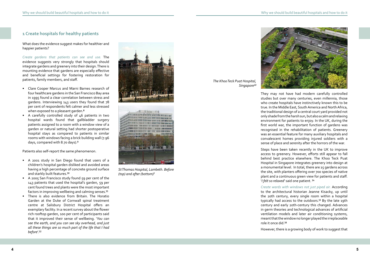What does the evidence suggest makes for healthier and happier patients?

- Clare Cooper Marcus and Marni Barnes research of four healthcare gardens in the San Francisco Bay area in 1995 found a clear correlation between stress and gardens. Interviewing 143 users they found that 78 per cent of respondents felt calmer and less stressed when exposed to a pleasant garden.<sup>8</sup>
- A carefully controlled study of 46 patients in two hospital wards found that gallbladder surgery patients assigned to a room with a window view of a garden or natural setting had shorter postoperative hospital stays as compared to patients in similar rooms with windows facing a brick building wall (7.96 days, compared with 8.70 days).<sup>9</sup>

*Create gardens that patients can see and use.* The evidence suggests very strongly that hospitals should integrate gardens and greenery into their design. There is mounting evidence that gardens are especially effective and beneficial settings for fostering restoration for patients, family members, and staff.

- A 2001 study in San Diego found that users of a children's hospital garden disliked and avoided areas having a high percentage of concrete ground surface and starkly built features.<sup>10</sup>
- A 2005 San Francisco study found 59 per cent of the 143 patients that used the hospital's garden, 59 per cent found trees and plants were the most important factors in improving wellbeing and calming senses.<sup>11</sup>
- There is also evidence from Britain. The Horatio Garden at the Duke of Cornwall spinal treatment centre at Salisbury District Hospital offers an exemplary facility. In a recent survey about the flower rich rooftop garden, 100 per cent of participants said that it improved their sense of wellbeing. '*You can see the earth, and you can see sky overhead, and just all these things are so much part of the life that I had*  before'.<sup>12</sup>

Patients also self-report the same phenomenon.

Steps have been taken recently in the UK to improve access to greenery. However, efforts still appear to fall behind best practice elsewhere. The Khoo Teck Puat Hospital in Singapore integrates greenery into design at a monumental level. In total, there are 15 gardens across the site, with planters offering over 700 species of native plant and a continuous green view for patients and staff. '*I felt so relaxed'* said one patient.<sup>14</sup>

*Create wards with windows not just piped air.* According to the architectural historian Jeanne Kisacky, up until the 20th century, every single room within a hospital typically had access to the outdoors.<sup>15</sup> By the late 19th century and early 20th-century this changed. Advances in germ theories and technological advances of artificial ventilation models and later air conditioning systems, meant that the window no longer played the irreplaceable role it once did.<sup>16</sup>

*The Khoo Teck Puat Hospital,*  Singapore<sup>13</sup>

They may not have had modern carefully controlled studies but over many centuries, even millennia, those who create hospitals have instinctively known this to be true. In the Middle East, South America and North Africa, the traditional design of a central court yard provided not only shade from the harsh sun, but also a calm and relaxing environment for patients to enjoy. In the UK, during the first world war, the important function of gardens was recognised in the rehabilitation of patients. Greenery was an essential feature for many auxiliary hospitals and convalescent homes providing injured soldiers with a sense of place and serenity after the horrors of the war.

However, there is a growing body of work to suggest that

### **1 Create hospitals for healthy patients**

*St Thomas Hospital, Lambeth. Before (top) and after (bottom)*⁷





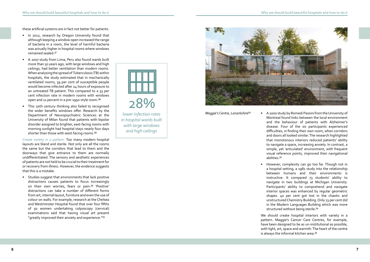- In 2012, research by Oregon University found that although keeping a window open increased the range of bacteria in a room, the level of harmful bacteria was actually higher in hospital rooms where windows remained sealed.<sup>17</sup>
- A 2007 study from Lima, Peru also found wards built more than 50 years ago, with large windows and high ceilings, had better ventilation than modern rooms. When analysing the spread of Tuberculosis (TB) within hospitals, the study estimated that in mechanically ventilated rooms, 39 per cent of susceptible people would become infected after 24 hours of exposure to an untreated TB patient. This compared to a 33 per cent infection rate in modern rooms with windows open and 11 percent in a pre-1950-style room.<sup>18</sup>
- This 20th century thinking also failed to recognised the wider benefits windows offer. Research by the Department of Neuropsychiatric Sciences at the University of Milan found that patients with bipolar disorder assigned to brighter, east-facing rooms with morning sunlight had hospital stays nearly four days shorter than those with west-facing rooms.<sup>19</sup>

• Studies suggest that environments that lack positive distractions causes patients to focus increasingly on their own worries, fears or pain.<sup>20</sup> 'Positive' distractions can take a number of different forms from art, internal layout, furniture and even the use of colour on walls. For example, research at the Chelsea and Westminster Hospital found that over four fifths of 50 women undertaking colposcopy (cervical) examinations said that having visual art present "greatly improved their anxiety and experience."<sup>21</sup>

• However, complexity can go too far. Though not in a hospital setting, a 1981 study into the relationship between humans and their environments is instructive. It compared 73 students' ability to navigate in two buildings at Michigan University. Participants' ability to comprehend and navigate interior spaces was enhanced by regular geometric shapes. 40 per cent got lost in the chaotic and unstructured Chemistry Building. Only 13 per cent did in the Modern Languages Building which was more structured without being sterile.<sup>24</sup>

*Create variety in a pattern.* Too many modern hospital layouts are bland and sterile. Not only are all the rooms the same but the corridors that lead to them and the doorways that give entrance to them are normally undifferentiated. The sensory and aesthetic experiences of patients are not held to be crucial to their treatment for or recovery from illness. However, the evidence suggests that this is a mistake.

> We should create hospital interiors with variety in a pattern. Maggie's Cancer Care Centres, for example, have been designed to be as un-institutional as possible, with light, art, space and warmth. The heart of the centre is always the informal kitchen area.<sup>25</sup>

> • A 2000 study by Romedi Passini from the University of Montreal found links between the local environment and the behaviour of patients with Alzheimer's disease. Four of the six participants experienced difficulties, in finding their own room, when corridors and doors all looked similar. The research highlighted that monotonous interiors reduced patients' ability to navigate a space, increasing anxiety. In contrast, a simple, yet 'articulated' environment, with frequent visual reference points, improved their navigational

- abilities.²²
- 
- 

*Maggie's Centre, Lanarkshire*²³



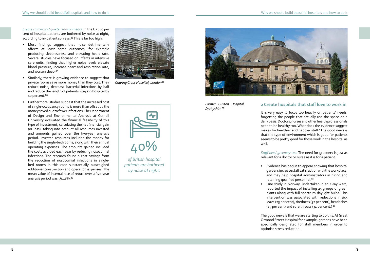*Create calmer and quieter environments.* In the UK, 40 per cent of hospital patients are bothered by noise at night, according to in-patient surveys.<sup>26</sup> This is far too high.

- Most findings suggest that noise detrimentally affects at least some outcomes, for example producing sleeplessness and elevating heart rate. Several studies have focused on infants in intensive care units, finding that higher noise levels elevate blood pressure, increase heart and respiration rate, and worsen sleep.<sup>27</sup>
- Similarly, there is growing evidence to suggest that private rooms save more money than they cost. They reduce noise, decrease bacterial infections by half and reduce the length of patients' stays in hospital by 10 percent.<sup>28</sup>
- Furthermore, studies suggest that the increased cost of single-occupancy rooms is more than offset by the money saved due to fewer infections. The Department of Design and Environmental Analysis at Cornell University evaluated the financial feasibility of this type of investment, calculating the net financial gain (or loss), taking into account all resources invested and amounts gained over the five-year analysis period. Invested resources included the money for building the single-bed rooms, along with their annual operating expenses. The amounts gained included the costs avoided each year by reducing nosocomial infections. The research found a cost savings from the reduction of nosocomial infections in singlebed rooms in this case substantially outweighed additional construction and operation expenses. The mean value of internal rate of return over a five-year analysis period was 56.18%.<sup>29</sup>

• Evidence has begun to appear showing that hospital gardens increase staff satisfaction with the workplace, and may help hospital administrators in hiring and retaining qualified personnel.<sup>32</sup>

• One study in Norway, undertaken in an X-ray ward, reported the impact of installing 25 groups of green plants along with full spectrum daylight bulbs. This intervention was associated with reductions in sick leave (25 per cent), tiredness (32 per cent), headaches  $(45$  per cent) and sore throats (31 per cent.)  $33$ 

*Former Buxton Hospital, Derbyshire* 31

> It is very easy to focus too heavily on patients' needs, forgetting the people that actually use the space on a daily basis. Doctors, nurses and other health professionals need to be healthy too. What does the evidence suggest makes for healthier and happier staff? The good news is that the type of environment which is good for patients seems to be pretty good for those work in the hospital as well.

*Staff need greenery too.* The need for greenery is just as relevant for a doctor or nurse as it is for a patient.

- 
- 

The good news is that we are starting to do this. At Great Ormond Street Hospital for example, gardens have been specifically designated for staff members in order to optimise stress reduction.

### **2 Create hospitals that staff love to work in**



*Charing Cross Hospital, London*³⁰



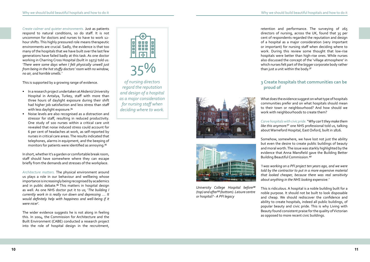- In a research project undertaken at Akdeniz University Hospital in Antalya, Turkey, staff with more than three hours of daylight exposure during their shift had higher job satisfaction and less stress than staff with less daylight exposure.<sup>34</sup>
- Noise levels are also recognised as a distraction and stressor for staff, resulting in reduced productivity. One study of 100 nurses within a critical care unit revealed that noise induced stress could account for 6 per cent of headaches at work, as self-reported by nurses in critical care areas. The results indicated that telephones, alarms in equipment, and the beeping of monitors for patients were identified as annoying.<sup>35</sup>

*Create calmer and quieter environments.* Just as patients respond to natural conditions, so do staff. It is not uncommon for doctors and nurses to have to work 12 hour shifts. This highly pressured role means therapeutic environments are crucial. Sadly, the evidence is that too many of the hospitals that we have built over the last few generations have failed badly at this task. As one doctor working in Charring Cross Hospital (built in 1973) told us: *'There were some days when I felt physically unwell just from being in the hot stuffy doctors' room with no window, no air, and horrible smells.'* 

This is supported by a growing range of evidence.

retention and performance. The surveying of 265 directors of nursing, across the UK, found that 35 per cent of respondents regarded the reputation and design of a hospital as a major consideration (very important or important) for nursing staff when deciding where to work. During this review some thought that low-rise hospitals were better than high-rise ones. While nurses also discussed the concept of the 'village atmosphere' in which nurses felt part of the bigger corporate body rather than just a unit within the body.<sup>37</sup>

In short, whether it's a garden or comfortable break room, staff should have somewhere where they can escape briefly from the demands and stresses of the workplace.

Somehow, somewhere, we have lost not just the ability but even the desire to create public buildings of beauty and moral worth. The issue was starkly highlighted by the evidence that Anna Mansfield gave the Building Better Building Beautiful Commission.<sup>40</sup>

*Architecture matters.* The physical environment around us plays a role in our behaviour and wellbeing whose importance is increasingly being recognised by academics and in public debate.<sup>36</sup> This matters in hospital design as well. As one NHS doctor put it to us; '*The building I currently work in is really run down and depressing …. It would definitely help with happiness and well-being if it were nicer*'.

The wider evidence suggests he is not along in feeling this. In 2004, the Commission for Architecture and the Built Environment (CABE) conducted a research project into the role of hospital design in the recruitment,



What does the evidence suggest on what type of hospitals communities prefer and on what hospitals should mean to their town or neighbourhood? And how should we work with neighbourhoods to create them?

*Carve hospitals with civic pride.* "*Why can't they make them like this anymore?*" one NHS professional told us, talking about Warneford Hospital, East Oxford, built in 1826.

*'I was working on a PFI project ten years ago, and we were told by the contractor to put in a more expensive material that looked cheaper, because there was real sensitivity about anything in the NHS looking expensive.'*

This is ridiculous. A hospital is a noble building built for a noble purpose. It should not be built to look disposable and cheap. We should rediscover the confidence and ability to create hospitals, indeed all public buildings, of popular beauty and civic pride. This is why Living with Beauty found consistent praise for the quality of Victorian as opposed to more recent civic buildings.

### **3 Create hospitals that communities can be proud of**

*University College Hospital before³⁸ (top) and after*³*⁹ (bottom). Leisure centre or hospital? - A PFI legacy*

35%

*of nursing directors regard the reputation and design of a hospital as a major consideration for nursing staff when deciding where to work.*



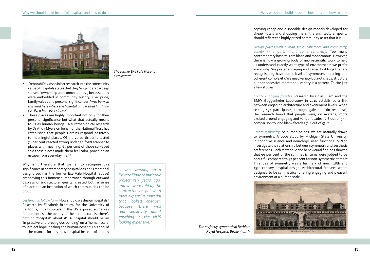

- Deborah Davidson in her research into the community value of hospitals states that they 'engendered a deep sense of ownership and connectedness, because they were embedded in community history, civic pride, family values and personal significance: '*I was born on this land here where the hospital is now sited [. . .] and I've lived here ever since'.*<sup>42</sup>
- These places are highly important not only for their personal significance but what that actually means to us as human beings. Neurotheological research by Dr Andy Myers on behalf of the National Trust has established that people's brains respond positively to meaningful places. Of the 20 participants tested 78 per cent reacted strong under an fMRI scanner to places with meaning. 65 per cent of those surveyed said these places made them feel calm, providing an escape from everyday life.<sup>43</sup>

Why is it therefore that we fail to recognise this significance in contemporary hospital design? Traditional designs such as the former Exe Vale Hospital (above) embodying this immense importance through outward displays of architectural quality, created both a sense of place and an institution of which communities can be proud.

*Create engaging facades.* Research by Colin Ellard and the BMW Guggenheim Laboratory in 2011 established a link between engaging architecture and excitement levels. When testing 134 participants, through 'galvanic skin response', the research found that people were, on average, more excited around engaging and varied facades (2.8 out of 5) in comparison to long blank facades ( $2.1$  out of  $5$ ).  $45$ 

*Let function follow form.* How should we design hospitals? Research by Elizabeth Bromley, for the University of California, into hospitals in the US exposed some key fundamentals, 'the beauty of the architecture is, there's nothing "hospital" about it'. A hospital should be an 'impressive and prestigious building' on a 'human scale' to 'project hope, healing and human-ness.' <sup>44</sup> This should be the mantra for any new hospital instead of merely copying cheap and disposable design models developed for cheap hotels and shopping malls, the architectural quality should reflect the highly prized community asset that it is.

*The former Exe Vale Hospital,*  Exminster<sup>41</sup>

*Design places with human scale, coherence and complexity, variety in a pattern and some symmetry.* Too many contemporary hospitals are bland and monotonous. However, there is now a growing body of neuroscientific work to help us understand exactly what type of environments we prefer – and why. We prefer engaging and varied buildings that are recognisable, have some level of symmetry, meaning and coherent complexity. We need variety but not chaos, structure but not obsessive repetition – variety in a pattern. To cite just a few studies;

*Create symmetry.* As human beings, we are naturally drawn to symmetry. A 2006 study by Michigan State University, in cognitive science and neurology, used functional MRI to investigate the relationship between symmetry and aesthetic preferences. Both metabolic and behavioural findings showed that 66 per cent of the symmetric items were judged to be beautiful compared to 42 per cent for non-symmetric items.<sup>46</sup> This idea of symmetry was a hallmark of much 18th and 19th century hospital design. Architectural features where designed to be symmetrical offering engaging and pleasant environment at a human scale.



*The perfectly symmetrical Bethlem Royal Hospital, Beckenham* ⁴⁷

*"I was working on a Private Finance Initiative project ten years ago, and we were told by the contractor to put in a more expensive material that looked cheaper, because there was real sensitivity about anything in the NHS looking expensive."*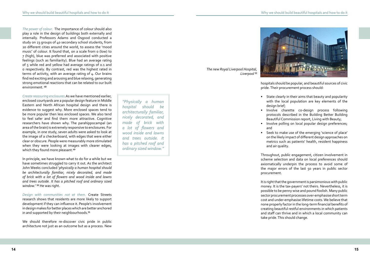*The power of colour.* The importance of colour should also play a role in the design of buildings both externally and internally. Professors Adams and Osgood conducted a study on 23 groups of 40 secondary school students, from 20 different cities around the world, to assess the 'mood music' of colour. It found that, on a scale from 0 (low) to 7 (high), blue was preferred and associated with positive feelings (such as familiarity). Blue had an average rating of 5 while red and yellow had average ratings of 0.1 and 0 respectively. By contrast, red was the highest rated in terms of activity, with an average rating of 4. Our brains find red exciting and arousing and blue relaxing, generating strong emotional reactions that can be related to our built environment.  $48$ 

*Create reassuring enclosures.*As we have mentioned earlier, enclosed courtyards are a popular design feature in Middle Eastern and North African hospital design and there is evidence to suggest why. More enclosed spaces tend to be more popular then less enclosed spaces. We also tend to feel safer and find them more attractive. Cognitive researchers have shown why. The parahippocampal (an area of the brain) is extremely responsive to enclosures. For example, in one study, seven adults were asked to look at the image of a checkerboard, with edges that were either clear or obscure. People were measurably more stimulated when they were looking at images with clearer edges, which they found more pleasant.<sup>49</sup>

In principle, we have known what to do for a while but we have sometimes struggled to carry it out. As the architect John Weeks concluded '*physically a human hospital should be architecturally familiar, nicely decorated, and made of brick with a lot of flowers and wood inside and lawns and trees outside. It has a pitched roof and ordinary sized*  window.' <sup>50</sup> He was right.

*Design with communities not at them.* Create Streets research shows that residents are more likely to support development if they can influence it. People's involvement in design makes for better places which are better anchored in and supported by their neighbourhoods.<sup>51</sup>

*The new Royal Liverpool Hospital,*  Liverpool<sup>52</sup>



We should therefore re-discover civic pride in public architecture not just as an outcome but as a process. New

hospitals should be popular, and beautiful sources of civic pride. Their procurement process should:

• State clearly in their aims that beauty and popularity with the local population are key elements of the

• Involve charette co-design process following protocols described in the Building Better Building Beautiful Commission report, Living with Beauty;

• Involve polling on local popular design preferences;

- design brief;
- 
- and
- and air quality.

• Seek to make use of the emerging 'science of place' on the likely impact of different design approaches on metrics such as patients' health, resident happiness

Throughout, public engagement, citizen involvement in scheme selection and data on local preferences should axiomatically underpin the process to avoid some of the major errors of the last 50 years in public sector procurement.

It is right that the government is parsimonious with public money. It is the tax-payers' not theirs. Nevertheless, it is possible to be penny wise and pound foolish. Many public sector procurement processes over-emphasise short term cost and under-emphasise lifetime costs. We believe that none properly factor in the long-term financial benefits of creating beautiful restful environments in which patients and staff can thrive and in which a local community can take pride. This should change.

*"Physically a human hospital should be architecturally familiar, nicely decorated, and made of brick with a lot of flowers and wood inside and lawns and trees outside. It has a pitched roof and ordinary sized window."*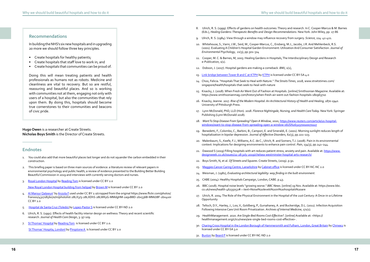In building the NHS's six new hospitals and in upgrading 20 more we should follow three key principles.

- Create hospitals for healthy patients;
- Create hospitals that staff love to work in; and
- Create hospitals that communities can be proud of.

- 1. You could also add that more beautiful places last longer and do not squander the carbon embedded in their construction.
- 2. This briefing paper is based on three main sources of evidence: a literature review of relevant papers in environmental psychology and public health; a review of evidence presented to the Building Better Building Beautiful Commission in 2019 and interviews with currently serving doctors and nurses.
- 3. [Royal London Hospital](https://www.flickr.com/photos/16801915@N06/6742419007/in/photolist-bgNEgz-bgNEzD-buvUUh-buvVDd-aRWFWD-aRWHT2-2aRPPVA-AUh7cY-aRWAEi-bHqEBX-bHqD5T-aRWMzn-aRWKyr-7JKm7-aRWDcD-buvTE1-4U6kuA-buvSqy-roH1KM-bHqFFP-5KDbqm-8HSaZj-oX2AHC-38bvR9-5XfYW9-rovFBQ-2hZj6Y5-s3Vy6W-bDdmNe-bDdmZx-qR1h6P-5wdMSb-CHq3N3-Cd2ngQ-FctBhA-FctByC-Cd9B6i-Cd2ksj-D8dEJY-D8dGoE-CZYo1o-D3fkcT-FcEkpv-FYL4sC-FctCo3-G7VFGD-G5CFWJ-Dp1Ep4-38bvRj-2e8jSjx%20CCBY%202.0) by [Reading Tom](https://www.flickr.com/photos/16801915@N06/) is licensed under CC BY 2.0

[New Royal London Hospital building from helipad](https://www.flickr.com/photos/londonmatt/3572775139/) by [Brown M](https://www.flickr.com/photos/londonmatt/) is licensed under CC BY 2.0

Doing this will mean treating patients and health professionals as humans not as robots. Medicine and cleanliness are vital to recovery. But so are restful, reassuring and beautiful places. And so is working with communities not at them, engaging not only with users of a hospital, but also the communities that rely upon them. By doing this, hospitals should become true cornerstones to their communities and beacons of civic pride.

**Hugo Owen** is a researcher at Create Streets. **Nicholas Boys Smith** is the Director of Create Streets.

### **Recommendations**

### **Endnotes**

- 4. [Al Mansur Qalawun'](https://www.flickr.com/photos/fran001/43171856070/in/photolist-28LX3J3-28LXDhS-28LWKyG-MMdgHM-2a9vB8D-2bx536B-MMdJ8F-2bx4uoi) by [Anzola F](https://www.flickr.com/photos/fran001/) used under CC BY 2.0/cropped from the original https://www.flickr.com/photos/ fran001/43171856070/in/photolist-28LX3J3-28LXDhS-28LWKyG-MMdgHM-2a9vB8D-2bx536B-MMdJ8F-2bx4uoi CC BY 2.0
- 5. [Hospital de Santa Cruz \(Toledo\)](https://www.flickr.com/photos/100759833@N05/15657878224/in/photolist-pRCHFE-e2Fhy-Yz8m8v-GUv3Sm-FhHhcU-6rx7tt-FhTWmi-7qXAFA-7qXAQs-xMudjE-59DaC9-2j8cZS4-cdhbFo-GrV8eR-QDKFrN-2j8d1e1-9c2NKh-27D57rA-2j8fyRK-XWpnWA-2j8d15J-DcSBzf-fJBFfk-AUh7cY-fPxGqz-Sk6YwJ-TrGoqj-FNGFfm-2hfnNUR-SUX8HZ-2fa3ipX-CeyaiP-QoAFz5-Chreb-fPxNm2-2WzyB5-AJsmHm-FywQbr-QoAuiC-WjqiyK-CpKFhu-V7cnjb-bkhXhV-247dsza-7GRRnF-3gvrPq-2iFV8c-EKa1rK-7x8Ge-2hfmT17) by [Lopez-Pastor S](https://www.flickr.com/photos/100759833@N05/) is licensed under CC BY-ND 2.0
- 6. Ulrich, R. S. (1991). Effects of health facility interior design on wellness: Theory and recent scientific research. *Journal of Health Care Design*, 3: 97-109.
- 7. [St Thomas' Hospital](https://www.flickr.com/photos/16801915@N06/8709495359/in/photolist-egCrx6-ZsxCRT-YnQS9w-Yrirw2-ZpGL2W-Zsx8XF-ZpGStU-Lnn4kV-YritMK-ZsxBWM-YnPXEd-2doCT7k-Z4Niyb-Lnn6zz-zr69v-5ngYqB-9zD7bu-QPM6QS-PuMgzZ-5ZM3Ey-ZtcaxE-CaJoKd-Pt7kFV-2icsb9L-ecXPeg-9CZtxs-2j26gNA-PuMgDM-PuMgHK-WJzrt9-PuMgva-4Mv64K-FctBhA-FctByC-FcEkpv-XN2fZT-Y1jp9g-XKjgcw-6ihHCS-9Adu8F-ec8SLk-UjvJXT-cJJ54U-61VmQT-PJBCf-FNKUpw-7bKgrU-6N8u8Z-p9CPdV-WLDE8g%20CC%20BY%202.0) by [Reading Tom](https://www.flickr.com/photos/16801915@N06/) is licensed under CC BY 2.0.

[St Thomas' Hospita, Londonl](https://upload.wikimedia.org/wikipedia/commons/d/d3/St.thomas.hospital.arp.750pix.jpg) by [Pingstone A](https://en.wikipedia.org/wiki/User:Arpingstone) is licensed under CC BY 2.0

- 8. Ulrich, R. S. (1999). Effects of gardens on health outcomes: Theory and research. In C. Cooper-Marcus & M. Barnes (Eds.), *Healing Gardens: Therapeutic Benefits and Design Recommendations.* New York: John Wiley, pp. 27-86
- 9. Ulrich, R. S. (1984). View through a window may influence recovery from surgery. *Science*, 224: 42-421.
- 10. Whitehouse, S., Varni, J.W., Seid, M., Cooper-Marcus, C., Ensberg, M.J., Jacobs, J.R. And Mehlenbeck, R.S. (2001). Evaluating A Children's Hospital Garden Environment: Utilization And Consumer Satisfaction. *Journal of Environmental Psychology*, 21(3), pp.301–314
- 11. Cooper, M. C. & Barnes, M, 2005: Healing Gardens in Hospitals, The Interdisciplinary Design and Research e-Publication, 1(1).
- 12. Dobson, J. (2017). Hospital gardens are making a comeback. *BMJ*, 1(1),
- 13. [Link bridge between Tower B and C at KTPH](https://upload.wikimedia.org/wikipedia/commons/d/db/Link_bridge_at_KTPH.jpg) by [KTPH](https://commons.wikimedia.org/w/index.php?title=User:Munhuiyee&action=edit&redlink=1) is licensed under CC BY-SA 4.0
- 14. Choo, Felicia. "Hospitals That Seek to Heal with Nature." *The Straits Times*, 2018, www.straitstimes.com/ singapore/health/hospitals-that-seek-to-heal-with-nature
- 15. Kisacky, J. (2018). When Fresh Air Went Out of Fashion at Hospitals. [online] Smithsonian Magazine. Available at: https://www.smithsonianmag.com/history/when-fresh-air-went-out-fashion-hospitals-180963710
- 16. Kisacky, Jeanne. 2017. *Rise of the Modern Hospital: An Architectural History of Health and Healing, 1870-1940.* University of Pittsburgh Press.
- 17. Lynn McDonald, PhD, LLD (Hon). 2018. *Florence Nightingale, Nursing, and Health Care Today.* New York: Springer Publishing (Lynn McDonald 2018).
- 18. *Want To Stop Disease From Spreading? Open A Window*, 2020, [https://www.reuters.com/article/us-hospital](https://www.reuters.com/article/us-hospital-windows/want-to-stop-disease-from-spreading-open-a-window-idUSN2632370020070227)[windows/want-to-stop-disease-from-spreading-open-a-window-idUSN2632370020070227](https://www.reuters.com/article/us-hospital-windows/want-to-stop-disease-from-spreading-open-a-window-idUSN2632370020070227)
- 19. Benedetti, F., Colombo, C., Barbini, B., Campori, E. and Smeraldi, E. (2001). Morning sunlight reduces length of hospitalization in bipolar depression. *Journal of Affective Disorders*, 62(3), pp.221–223.
- 20. Malenbaum, S., Keefe, F.J., Williams, A.C. de C., Ulrich, R. and Somers, T.J. (2008). Pain in its environmental context: Implications for designing environments to enhance pain control. *Pain*, 134(3), pp.241–244.
- 21. Dawood S (2019) Filling hospitals with art reduces patient stress, anxiety and pain. Available at: [https://www.](https://www.designweek.co.uk/issues/22-28-july-2019/chelsea-westminster-hospital-arts-research/) [designweek.co.uk/issues/22-28-july-2019/chelsea-westminster-hospital-arts-research/](https://www.designweek.co.uk/issues/22-28-july-2019/chelsea-westminster-hospital-arts-research/)
- 22. Boys Smith, N, et al. *Of Streets and Squares*. Create Streets, (2019). p.91.
- 23. [Maggies Cancer Caring Centre, Lanarkshire](https://www.flickr.com/photos/cabinetoffice/22006498279/in/photolist-zwD4f8-Mb7hD9-caEWH3-LEE4zU-8NtJy-LEE753-LEE6v7-MrZFQQ-MrZGBj-Mb7hEw-LEE53s-rKtzY-rKtEn-rKtJz-28Jqapy-28NNUe2-LEE5fG-LEE4WW-Mz41WG-LEE5TL-LEE63y-LEE5oN-LEE4P1-LEE6cS-MrZFzu-MrZDRE-MrZDwb-LEHxD2-LEHvuc-Mz46Ej-MrZF3h-Mb7jPb-dCiZSN-LEE5bU-LEE4qf-LEE5Hq-MrZEQo-28NNVeD-rKtLL-27HmMaq-rKtzs-28NNT46-8bQCPE-28JqfRf-28NNRze-28NNPqp-28JqgSd-8bMmsi-8bQE1h-27qVcPK%20%20CC%20BY-NC-NC%202.0) by [Cabinet office](https://www.flickr.com/photos/cabinetoffice/) is licensed under CC BY-NC-NC 2.0
- 24. Weisman, J. (1981), *Evaluating architectural legibility: way finding in the built environment.*
- 25. CABE (2004): Healthy Hospitals Campaign, London, CABE. p.43.
- 26. BBC (2018). Hospital noise levels "growing worse." *BBC News*. [online] 19 Nov. Available at: https://www.bbc. co.uk/news/health-46235052#:~:text=Noise%20levels%20in%20hospitals%20are
- 27. Ulrich, R. 2004: The Role of the Physical Environment in the Hospital of the 21st Century: A Once-in-a-Lifetime **Opportunity**
- 28. Teltsch, D.Y., Hanley, J., Loo, V., Goldberg, P., Gursahaney, A. and Buckeridge, D.L. (2011). Infection Acquisition Following Intensive Care Unit Room Privatization. *Archives of Internal Medicine*, 171(1).
- 29. HealthManagement. 2020. *Are Single-Bed Rooms Cost-Effective?*. [online] Available at: <https:// healthmanagement.org/c/icu/news/are-single-bed-rooms-cost-effective> .
- 30. Charing Cross Hospital in the London Borough of Hammersmith and Fulham, London, Great Britain by [Chmee2](https://commons.wikimedia.org/wiki/User:Chmee2) is licensed under CC BY-SA 3.0
- 31. [Buxton](https://www.flickr.com/photos/8592508@N04/4199178139/in/photolist-pcw22E-ptZ3jm-pu1JTi-pcwHAc-prYJHq-2Bo5w-2CfjF-7p4Tn6-pcvWvA-6Kay85-6K6sHT-6K6snH%20CC%20BY-NC-ND%202.0) by [Beard P](https://www.flickr.com/photos/8592508@N04/) is licensed under CC BY-NC-ND 2.0